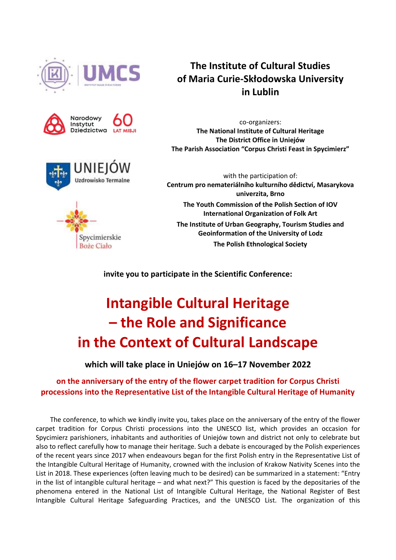





Spycimierskie **Boże Ciało** 

**The Institute of Cultural Studies of Maria Curie-Skłodowska University in Lublin**

co-organizers: **The National Institute of Cultural Heritage The District Office in Uniejów The Parish Association "Corpus Christi Feast in Spycimierz"**

with the participation of: **Centrum pro nemateriálního kulturního dědictví, Masarykova univerzita, Brno The Youth Commission of the Polish Section of IOV International Organization of Folk Art The Institute of Urban Geography, Tourism Studies and Geoinformation of the University of Lodz The Polish Ethnological Society**

**invite you to participate in the Scientific Conference:**

# **Intangible Cultural Heritage – the Role and Significance in the Context of Cultural Landscape**

**which will take place in Uniejów on 16–17 November 2022** 

## **on the anniversary of the entry of the flower carpet tradition for Corpus Christi processions into the Representative List of the Intangible Cultural Heritage of Humanity**

The conference, to which we kindly invite you, takes place on the anniversary of the entry of the flower carpet tradition for Corpus Christi processions into the UNESCO list, which provides an occasion for Spycimierz parishioners, inhabitants and authorities of Uniejów town and district not only to celebrate but also to reflect carefully how to manage their heritage. Such a debate is encouraged by the Polish experiences of the recent years since 2017 when endeavours began for the first Polish entry in the Representative List of the Intangible Cultural Heritage of Humanity, crowned with the inclusion of Krakow Nativity Scenes into the List in 2018. These experiences (often leaving much to be desired) can be summarized in a statement: "Entry in the list of intangible cultural heritage – and what next?" This question is faced by the depositaries of the phenomena entered in the National List of Intangible Cultural Heritage, the National Register of Best Intangible Cultural Heritage Safeguarding Practices, and the UNESCO List. The organization of this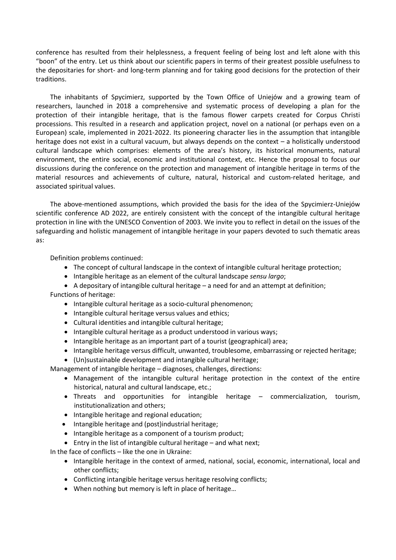conference has resulted from their helplessness, a frequent feeling of being lost and left alone with this "boon" of the entry. Let us think about our scientific papers in terms of their greatest possible usefulness to the depositaries for short- and long-term planning and for taking good decisions for the protection of their traditions.

The inhabitants of Spycimierz, supported by the Town Office of Uniejów and a growing team of researchers, launched in 2018 a comprehensive and systematic process of developing a plan for the protection of their intangible heritage, that is the famous flower carpets created for Corpus Christi processions. This resulted in a research and application project, novel on a national (or perhaps even on a European) scale, implemented in 2021-2022. Its pioneering character lies in the assumption that intangible heritage does not exist in a cultural vacuum, but always depends on the context – a holistically understood cultural landscape which comprises: elements of the area's history, its historical monuments, natural environment, the entire social, economic and institutional context, etc. Hence the proposal to focus our discussions during the conference on the protection and management of intangible heritage in terms of the material resources and achievements of culture, natural, historical and custom-related heritage, and associated spiritual values.

The above-mentioned assumptions, which provided the basis for the idea of the Spycimierz-Uniejów scientific conference AD 2022, are entirely consistent with the concept of the intangible cultural heritage protection in line with the UNESCO Convention of 2003. We invite you to reflect in detail on the issues of the safeguarding and holistic management of intangible heritage in your papers devoted to such thematic areas as:

Definition problems continued:

- The concept of cultural landscape in the context of intangible cultural heritage protection;
- Intangible heritage as an element of the cultural landscape *sensu largo*;
- $\bullet$  A depositary of intangible cultural heritage a need for and an attempt at definition; Functions of heritage:
	- Intangible cultural heritage as a socio-cultural phenomenon;
	- Intangible cultural heritage versus values and ethics;
	- Cultural identities and intangible cultural heritage;
	- Intangible cultural heritage as a product understood in various ways;
	- Intangible heritage as an important part of a tourist (geographical) area;
	- Intangible heritage versus difficult, unwanted, troublesome, embarrassing or rejected heritage;
	- (Un)sustainable development and intangible cultural heritage;

Management of intangible heritage – diagnoses, challenges, directions:

- Management of the intangible cultural heritage protection in the context of the entire historical, natural and cultural landscape, etc.;
- Threats and opportunities for intangible heritage commercialization, tourism, institutionalization and others;
- Intangible heritage and regional education;
- Intangible heritage and (post)industrial heritage;
- Intangible heritage as a component of a tourism product;
- Entry in the list of intangible cultural heritage and what next;

In the face of conflicts – like the one in Ukraine:

- Intangible heritage in the context of armed, national, social, economic, international, local and other conflicts;
- Conflicting intangible heritage versus heritage resolving conflicts;
- When nothing but memory is left in place of heritage…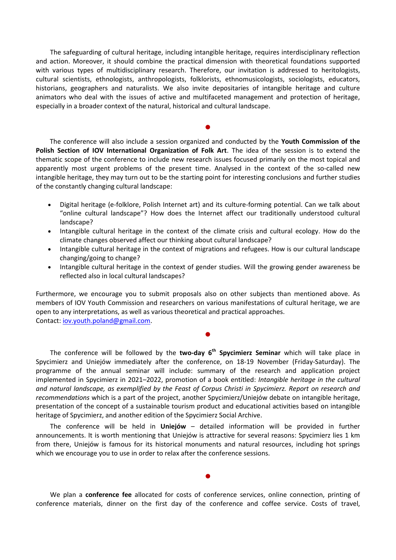The safeguarding of cultural heritage, including intangible heritage, requires interdisciplinary reflection and action. Moreover, it should combine the practical dimension with theoretical foundations supported with various types of multidisciplinary research. Therefore, our invitation is addressed to heritologists, cultural scientists, ethnologists, anthropologists, folklorists, ethnomusicologists, sociologists, educators, historians, geographers and naturalists. We also invite depositaries of intangible heritage and culture animators who deal with the issues of active and multifaceted management and protection of heritage, especially in a broader context of the natural, historical and cultural landscape.

The conference will also include a session organized and conducted by the **Youth Commission of the Polish Section of IOV International Organization of Folk Art**. The idea of the session is to extend the thematic scope of the conference to include new research issues focused primarily on the most topical and apparently most urgent problems of the present time. Analysed in the context of the so-called new intangible heritage, they may turn out to be the starting point for interesting conclusions and further studies of the constantly changing cultural landscape:

 $\bullet$ 

- Digital heritage (e-folklore, Polish Internet art) and its culture-forming potential. Can we talk about "online cultural landscape"? How does the Internet affect our traditionally understood cultural landscape?
- Intangible cultural heritage in the context of the climate crisis and cultural ecology. How do the climate changes observed affect our thinking about cultural landscape?
- Intangible cultural heritage in the context of migrations and refugees. How is our cultural landscape changing/going to change?
- Intangible cultural heritage in the context of gender studies. Will the growing gender awareness be reflected also in local cultural landscapes?

Furthermore, we encourage you to submit proposals also on other subjects than mentioned above. As members of IOV Youth Commission and researchers on various manifestations of cultural heritage, we are open to any interpretations, as well as various theoretical and practical approaches. Contact: [iov.youth.poland@gmail.com.](mailto:iov.youth.poland@gmail.com)

 $\bullet$ 

The conference will be followed by the **two-day 6 th Spycimierz Seminar** which will take place in Spycimierz and Uniejów immediately after the conference, on 18-19 November (Friday-Saturday). The programme of the annual seminar will include: summary of the research and application project implemented in Spycimierz in 2021–2022, promotion of a book entitled: *Intangible heritage in the cultural and natural landscape, as exemplified by the Feast of Corpus Christi in Spycimierz. Report on research and recommendations* which is a part of the project, another Spycimierz/Uniejów debate on intangible heritage, presentation of the concept of a sustainable tourism product and educational activities based on intangible heritage of Spycimierz, and another edition of the Spycimierz Social Archive.

The conference will be held in **Uniejów** – detailed information will be provided in further announcements. It is worth mentioning that Uniejów is attractive for several reasons: Spycimierz lies 1 km from there, Uniejów is famous for its historical monuments and natural resources, including hot springs which we encourage you to use in order to relax after the conference sessions.

We plan a **conference fee** allocated for costs of conference services, online connection, printing of conference materials, dinner on the first day of the conference and coffee service. Costs of travel,

 $\bullet$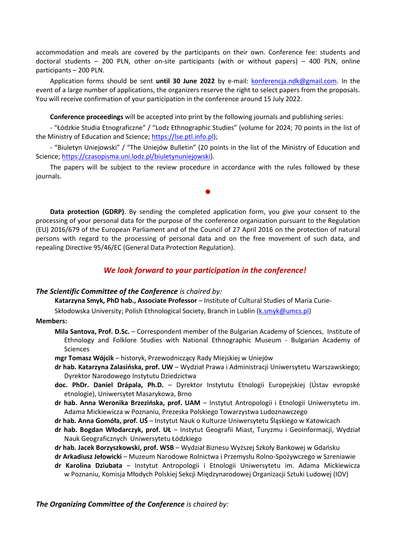accommodation and meals are covered by the participants on their own. Conference fee: students and doctoral students – 200 PLN, other on-site participants (with or without papers) – 400 PLN, online participants – 200 PLN.

Application forms should be sent **until 30 June 2022** by e-mail: [konferencja.ndk@gmail.com.](mailto:konferencja.ndk@gmail.com) In the event of a large number of applications, the organizers reserve the right to select papers from the proposals. You will receive confirmation of your participation in the conference around 15 July 2022.

**Conference proceedings** will be accepted into print by the following journals and publishing series:

- "Łódzkie Studia Etnograficzne" / "Lodz Ethnographic Studies" (volume for 2024; 70 points in the list of the Ministry of Education and Science; [https://lse.ptl.info.pl\)](https://lse.ptl.info.pl/);

- "Biuletyn Uniejowski" / "The Uniejów Bulletin" (20 points in the list of the Ministry of Education and Science; [https://czasopisma.uni.lodz.pl/biuletynuniejowski\)](https://czasopisma.uni.lodz.pl/biuletynuniejowski).

The papers will be subject to the review procedure in accordance with the rules followed by these journals.

 $\bullet$ 

**Data protection (GDRP)**. By sending the completed application form, you give your consent to the processing of your personal data for the purpose of the conference organization pursuant to the Regulation (EU) 2016/679 of the European Parliament and of the Council of 27 April 2016 on the protection of natural persons with regard to the processing of personal data and on the free movement of such data, and repealing Directive 95/46/EC (General Data Protection Regulation).

## *We look forward to your participation in the conference!*

#### *The Scientific Committee of the Conference is chaired by:*

**Katarzyna Smyk, PhD hab., Associate Professor** – Institute of Cultural Studies of Maria Curie-

Skłodowska University; Polish Ethnological Society, Branch in Lublin [\(k.smyk@umcs.pl\)](mailto:k.smyk@umcs.pl)

#### **Members:**

**Mila Santova, Prof. D.Sc.** – Correspondent member of the Bulgarian Academy of Sciences, Institute of Ethnology and Folklore Studies with National Ethnographic Museum - Bulgarian Academy of Sciences

**mgr Tomasz Wójcik** – historyk, Przewodniczący Rady Miejskiej w Uniejów

- **dr hab. Katarzyna Zalasińska, prof. UW** Wydział Prawa i Administracji Uniwersytetu Warszawskiego; Dyrektor Narodowego Instytutu Dziedzictwa
- **doc. PhDr. Daniel Drápala, Ph.D.** Dyrektor Instytutu Etnologii Europejskiej (Ústav evropské etnologie), Uniwersytet Masarykowa, Brno
- **dr hab. Anna Weronika Brzezińska, prof. UAM** Instytut Antropologii i Etnologii Uniwersytetu im. Adama Mickiewicza w Poznaniu, Prezeska Polskiego Towarzystwa Ludoznawczego
- **dr hab. Anna Gomóła, prof. UŚ** Instytut Nauk o Kulturze Uniwersytetu Śląskiego w Katowicach
- **dr hab. Bogdan Włodarczyk, prof. UŁ** Instytut Geografii Miast, Turyzmu i Geoinformacji, Wydział Nauk Geograficznych Uniwersytetu Łódzkiego
- **dr hab. Jacek Borzyszkowski, prof. WSB** Wydział Biznesu Wyższej Szkoły Bankowej w Gdańsku
- **dr Arkadiusz Jełowicki** Muzeum Narodowe Rolnictwa i Przemysłu Rolno-Spożywczego w Szreniawie
- **dr Karolina Dziubata** Instytut Antropologii i Etnologii Uniwersytetu im. Adama Mickiewicza w Poznaniu, Komisja Młodych Polskiej Sekcji Międzynarodowej Organizacji Sztuki Ludowej (IOV)

*The Organizing Committee of the Conference is chaired by:*